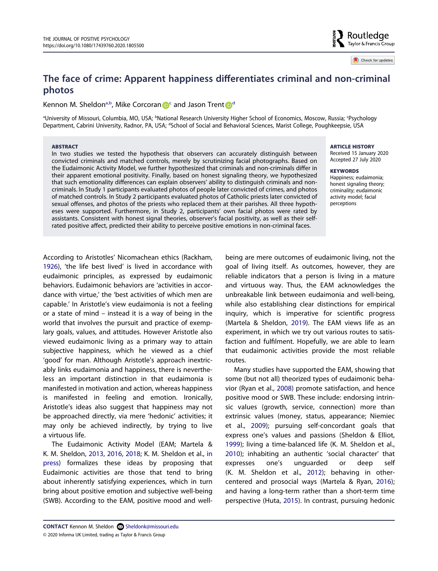# **The face of crime: Apparent happiness differentiates criminal and non-criminal photos**

## Kennon M. Shel[d](#page-0-1)on<sup>a,b</sup>, Mike Corcoran **D**<sup>c</sup> and Jason Tren[t](http://orcid.org/0000-0001-7130-7948) D<sup>d</sup>

<span id="page-0-1"></span><span id="page-0-0"></span>aUniversity of Missouri, Columbia, MO, USA; bNational Research University Higher School of Economics, Moscow, Russia; Psychology والكارمة Department, Cabrini University, Radnor, PA, USA; <sup>a</sup>School of Social and Behavioral Sciences, Marist College, Poughkeepsie, USA

#### **ABSTRACT**

In two studies we tested the hypothesis that observers can accurately distinguish between convicted criminals and matched controls, merely by scrutinizing facial photographs. Based on the Eudaimonic Activity Model, we further hypothesized that criminals and non-criminals differ in their apparent emotional positivity. Finally, based on honest signaling theory, we hypothesized that such emotionality differences can explain observers' ability to distinguish criminals and noncriminals. In Study 1 participants evaluated photos of people later convicted of crimes, and photos of matched controls. In Study 2 participants evaluated photos of Catholic priests later convicted of sexual offenses, and photos of the priests who replaced them at their parishes. All three hypotheses were supported. Furthermore, in Study 2, participants' own facial photos were rated by assistants. Consistent with honest signal theories, observer's facial positivity, as well as their selfrated positive affect, predicted their ability to perceive positive emotions in non-criminal faces.

**ARTICLE HISTORY** 

Received 15 January 2020 Accepted 27 July 2020

Routledae Taylor & Francis Group

Check for updates

**KEYWORDS**  Happiness; eudaimonia;

honest signaling theory; criminality; eudaimonic activity model; facial perceptions

<span id="page-0-6"></span>According to Aristotles' Nicomachean ethics (Rackham, [1926\)](#page-8-0), 'the life best lived' is lived in accordance with eudaimonic principles, as expressed by eudaimonic behaviors. Eudaimonic behaviors are 'activities in accordance with virtue,' the 'best activities of which men are capable.' In Aristotle's view eudaimonia is not a feeling or a state of mind – instead it is a way of being in the world that involves the pursuit and practice of exemplary goals, values, and attitudes. However Aristotle also viewed eudaimonic living as a primary way to attain subjective happiness, which he viewed as a chief 'good' for man. Although Aristotle's approach inextricably links eudaimonia and happiness, there is nevertheless an important distinction in that eudaimonia is manifested in motivation and action, whereas happiness is manifested in feeling and emotion. Ironically, Aristotle's ideas also suggest that happiness may not be approached directly, via mere 'hedonic' activities; it may only be achieved indirectly, by trying to live a virtuous life.

<span id="page-0-8"></span>The Eudaimonic Activity Model (EAM; Martela & K. M. Sheldon, [2013,](#page-9-0) [2016,](#page-9-1) [2018](#page-9-2); K. M. Sheldon et al., [in](#page-9-3)  [press\)](#page-9-3) formalizes these ideas by proposing that Eudaimonic activities are those that tend to bring about inherently satisfying experiences, which in turn bring about positive emotion and subjective well-being (SWB). According to the EAM, positive mood and well-

<span id="page-0-11"></span><span id="page-0-10"></span><span id="page-0-9"></span><span id="page-0-7"></span><span id="page-0-5"></span><span id="page-0-4"></span><span id="page-0-3"></span><span id="page-0-2"></span>Many studies have supported the EAM, showing that some (but not all) theorized types of eudaimonic behavior (Ryan et al., [2008\)](#page-9-4) promote satisfaction, and hence positive mood or SWB. These include: endorsing intrinsic values (growth, service, connection) more than extrinsic values (money, status, appearance; Niemiec et al., [2009\)](#page-8-2); pursuing self-concordant goals that express one's values and passions (Sheldon & Elliot, [1999](#page-9-5)); living a time-balanced life (K. M. Sheldon et al., [2010](#page-9-6)); inhabiting an authentic 'social character' that expresses one's unguarded or deep self (K. M. Sheldon et al., [2012\)](#page-9-7); behaving in othercentered and prosocial ways (Martela & Ryan, [2016](#page-8-3)); and having a long-term rather than a short-term time perspective (Huta, [2015](#page-8-4)). In contrast, pursuing hedonic

being are mere outcomes of eudaimonic living, not the goal of living itself. As outcomes, however, they are reliable indicators that a person is living in a mature and virtuous way. Thus, the EAM acknowledges the unbreakable link between eudaimonia and well-being, while also establishing clear distinctions for empirical inquiry, which is imperative for scientific progress (Martela & Sheldon, [2019\)](#page-8-1). The EAM views life as an experiment, in which we try out various routes to satisfaction and fulfilment. Hopefully, we are able to learn that eudaimonic activities provide the most reliable routes.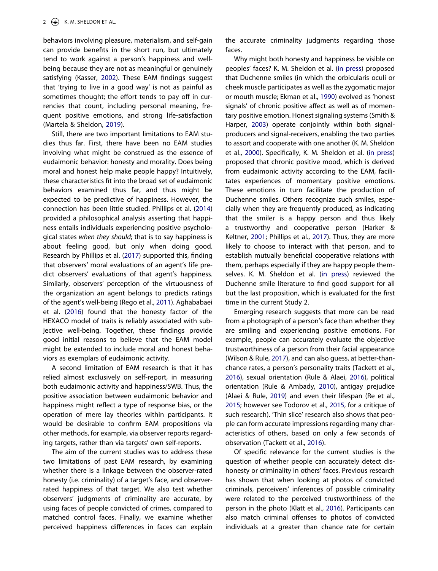<span id="page-1-4"></span>behaviors involving pleasure, materialism, and self-gain can provide benefits in the short run, but ultimately tend to work against a person's happiness and wellbeing because they are not as meaningful or genuinely satisfying (Kasser, [2002](#page-8-5)). These EAM findings suggest that 'trying to live in a good way' is not as painful as sometimes thought; the effort tends to pay off in currencies that count, including personal meaning, frequent positive emotions, and strong life-satisfaction (Martela & Sheldon, [2019](#page-8-1)).

<span id="page-1-6"></span>Still, there are two important limitations to EAM studies thus far. First, there have been no EAM studies involving what might be construed as the essence of eudaimonic behavior: honesty and morality. Does being moral and honest help make people happy? Intuitively, these characteristics fit into the broad set of eudaimonic behaviors examined thus far, and thus might be expected to be predictive of happiness. However, the connection has been little studied. Phillips et al. [\(2014\)](#page-8-6) provided a philosophical analysis asserting that happiness entails individuals experiencing positive psychological states *when they should*; that is to say happiness is about feeling good, but only when doing good. Research by Phillips et al. ([2017](#page-8-7)) supported this, finding that observers' moral evaluations of an agent's life predict observers' evaluations of that agent's happiness. Similarly, observers' perception of the virtuousness of the organization an agent belongs to predicts ratings of the agent's well-being (Rego et al., [2011\)](#page-8-8). Aghababaei et al. ([2016](#page-8-9)) found that the honesty factor of the HEXACO model of traits is reliably associated with subjective well-being. Together, these findings provide good initial reasons to believe that the EAM model might be extended to include moral and honest behaviors as exemplars of eudaimonic activity.

<span id="page-1-7"></span><span id="page-1-0"></span>A second limitation of EAM research is that it has relied almost exclusively on self-report, in measuring both eudaimonic activity and happiness/SWB. Thus, the positive association between eudaimonic behavior and happiness might reflect a type of response bias, or the operation of mere lay theories within participants. It would be desirable to confirm EAM propositions via other methods, for example, via observer reports regarding targets, rather than via targets' own self-reports.

The aim of the current studies was to address these two limitations of past EAM research, by examining whether there is a linkage between the observer-rated honesty (i.e. criminality) of a target's face, and observerrated happiness of that target. We also test whether observers' judgments of criminality are accurate, by using faces of people convicted of crimes, compared to matched control faces. Finally, we examine whether perceived happiness differences in faces can explain the accurate criminality judgments regarding those faces.

<span id="page-1-11"></span><span id="page-1-10"></span><span id="page-1-2"></span>Why might both honesty and happiness be visible on peoples' faces? K. M. Sheldon et al. ([in press](#page-9-3)) proposed that Duchenne smiles (in which the orbicularis oculi or cheek muscle participates as well as the zygomatic major or mouth muscle; Ekman et al., [1990](#page-8-10)) evolved as 'honest signals' of chronic positive affect as well as of momentary positive emotion. Honest signaling systems (Smith & Harper, [2003](#page-9-8)) operate conjointly within both signalproducers and signal-receivers, enabling the two parties to assort and cooperate with one another (K. M. Sheldon et al., [2000](#page-9-9)). Specifically, K. M. Sheldon et al. [\(in press\)](#page-9-3) proposed that chronic positive mood, which is derived from eudaimonic activity according to the EAM, facilitates experiences of momentary positive emotions. These emotions in turn facilitate the production of Duchenne smiles. Others recognize such smiles, especially when they are frequently produced, as indicating that the smiler is a happy person and thus likely a trustworthy and cooperative person (Harker & Keltner, [2001;](#page-8-11) Phillips et al., [2017](#page-8-7)). Thus, they are more likely to choose to interact with that person, and to establish mutually beneficial cooperative relations with them, perhaps especially if they are happy people themselves. K. M. Sheldon et al. [\(in press\)](#page-9-3) reviewed the Duchenne smile literature to find good support for all but the last proposition, which is evaluated for the first time in the current Study 2.

<span id="page-1-14"></span><span id="page-1-8"></span><span id="page-1-3"></span>Emerging research suggests that more can be read from a photograph of a person's face than whether they are smiling and experiencing positive emotions. For example, people can accurately evaluate the objective trustworthiness of a person from their facial appearance (Wilson & Rule, [2017](#page-9-10)), and can also guess, at better-thanchance rates, a person's personality traits (Tackett et al., [2016](#page-9-11)), sexual orientation (Rule & Alaei, [2016](#page-9-12)), political orientation (Rule & Ambady, [2010](#page-9-13)), antigay prejudice (Alaei & Rule, [2019](#page-8-12)) and even their lifespan (Re et al., [2015](#page-8-13); however see Todorov et al., [2015](#page-9-14), for a critique of such research). 'Thin slice' research also shows that people can form accurate impressions regarding many characteristics of others, based on only a few seconds of observation (Tackett et al., [2016](#page-9-11)).

<span id="page-1-13"></span><span id="page-1-12"></span><span id="page-1-9"></span><span id="page-1-5"></span><span id="page-1-1"></span>Of specific relevance for the current studies is the question of whether people can accurately detect dishonesty or criminality in others' faces. Previous research has shown that when looking at photos of convicted criminals, perceivers' inferences of possible criminality were related to the perceived trustworthiness of the person in the photo (Klatt et al., [2016](#page-8-14)). Participants can also match criminal offenses to photos of convicted individuals at a greater than chance rate for certain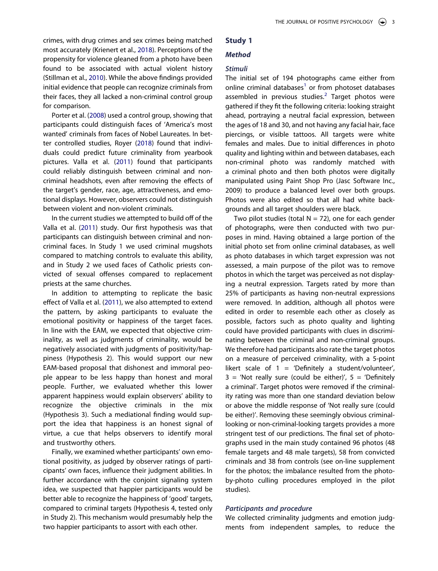<span id="page-2-3"></span><span id="page-2-0"></span>crimes, with drug crimes and sex crimes being matched most accurately (Krienert et al., [2018\)](#page-8-15). Perceptions of the propensity for violence gleaned from a photo have been found to be associated with actual violent history (Stillman et al., [2010\)](#page-9-15). While the above findings provided initial evidence that people can recognize criminals from their faces, they all lacked a non-criminal control group for comparison.

<span id="page-2-2"></span><span id="page-2-1"></span>Porter et al. [\(2008\)](#page-8-16) used a control group, showing that participants could distinguish faces of 'America's most wanted' criminals from faces of Nobel Laureates. In better controlled studies, Royer ([2018](#page-9-16)) found that individuals could predict future criminality from yearbook pictures. Valla et al. ([2011](#page-9-17)) found that participants could reliably distinguish between criminal and noncriminal headshots, even after removing the effects of the target's gender, race, age, attractiveness, and emotional displays. However, observers could not distinguish between violent and non-violent criminals.

In the current studies we attempted to build off of the Valla et al. ([2011](#page-9-17)) study. Our first hypothesis was that participants can distinguish between criminal and noncriminal faces. In Study 1 we used criminal mugshots compared to matching controls to evaluate this ability, and in Study 2 we used faces of Catholic priests convicted of sexual offenses compared to replacement priests at the same churches.

<span id="page-2-4"></span>In addition to attempting to replicate the basic effect of Valla et al. [\(2011](#page-9-17)), we also attempted to extend the pattern, by asking participants to evaluate the emotional positivity or happiness of the target faces. In line with the EAM, we expected that objective criminality, as well as judgments of criminality, would be negatively associated with judgments of positivity/happiness (Hypothesis 2). This would support our new EAM-based proposal that dishonest and immoral people appear to be less happy than honest and moral people. Further, we evaluated whether this lower apparent happiness would explain observers' ability to recognize the objective criminals in the mix (Hypothesis 3). Such a mediational finding would support the idea that happiness is an honest signal of virtue, a cue that helps observers to identify moral and trustworthy others.

Finally, we examined whether participants' own emotional positivity, as judged by observer ratings of participants' own faces, influence their judgment abilities. In further accordance with the conjoint signaling system idea, we suspected that happier participants would be better able to recognize the happiness of 'good' targets, compared to criminal targets (Hypothesis 4, tested only in Study 2). This mechanism would presumably help the two happier participants to assort with each other.

# **Study 1**

## *Method*

## *Stimuli*

The initial set of 194 photographs came either from online criminal databases<sup>1</sup> or from photoset databases assembled in previous studies. $<sup>2</sup>$  $<sup>2</sup>$  $<sup>2</sup>$  Target photos were</sup> gathered if they fit the following criteria: looking straight ahead, portraying a neutral facial expression, between the ages of 18 and 30, and not having any facial hair, face piercings, or visible tattoos. All targets were white females and males. Due to initial differences in photo quality and lighting within and between databases, each non-criminal photo was randomly matched with a criminal photo and then both photos were digitally manipulated using Paint Shop Pro (Jasc Software Inc., 2009) to produce a balanced level over both groups. Photos were also edited so that all had white backgrounds and all target shoulders were black.

Two pilot studies (total  $N = 72$ ), one for each gender of photographs, were then conducted with two purposes in mind. Having obtained a large portion of the initial photo set from online criminal databases, as well as photo databases in which target expression was not assessed, a main purpose of the pilot was to remove photos in which the target was perceived as not displaying a neutral expression. Targets rated by more than 25% of participants as having non-neutral expressions were removed. In addition, although all photos were edited in order to resemble each other as closely as possible, factors such as photo quality and lighting could have provided participants with clues in discriminating between the criminal and non-criminal groups. We therefore had participants also rate the target photos on a measure of perceived criminality, with a 5-point likert scale of  $1 = 'Definitely a student/volunteer',$  $3$  = 'Not really sure (could be either)',  $5$  = 'Definitely a criminal'. Target photos were removed if the criminality rating was more than one standard deviation below or above the middle response of 'Not really sure (could be either)'. Removing these seemingly obvious criminallooking or non-criminal-looking targets provides a more stringent test of our predictions. The final set of photographs used in the main study contained 96 photos (48 female targets and 48 male targets), 58 from convicted criminals and 38 from controls (see on-line supplement for the photos; the imbalance resulted from the photoby-photo culling procedures employed in the pilot studies).

## *Participants and procedure*

We collected criminality judgments and emotion judgments from independent samples, to reduce the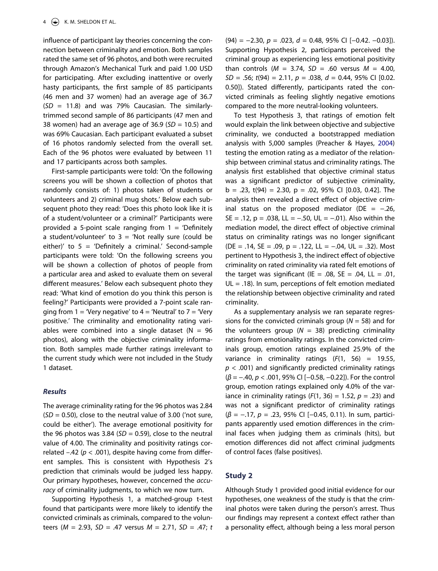influence of participant lay theories concerning the connection between criminality and emotion. Both samples rated the same set of 96 photos, and both were recruited through Amazon's Mechanical Turk and paid 1.00 USD for participating. After excluding inattentive or overly hasty participants, the first sample of 85 participants (46 men and 37 women) had an average age of 36.7 (*SD* = 11.8) and was 79% Caucasian. The similarlytrimmed second sample of 86 participants (47 men and 38 women) had an average age of 36.9 (*SD* = 10.5) and was 69% Caucasian. Each participant evaluated a subset of 16 photos randomly selected from the overall set. Each of the 96 photos were evaluated by between 11 and 17 participants across both samples.

First-sample participants were told: 'On the following screens you will be shown a collection of photos that randomly consists of: 1) photos taken of students or volunteers and 2) criminal mug shots.' Below each subsequent photo they read: 'Does this photo look like it is of a student/volunteer or a criminal?' Participants were provided a 5-point scale ranging from  $1 =$  'Definitely a student/volunteer' to  $3$  = 'Not really sure (could be either)' to  $5 = 'Definitely a criminal.' Second-sample$ participants were told: 'On the following screens you will be shown a collection of photos of people from a particular area and asked to evaluate them on several different measures.' Below each subsequent photo they read: 'What kind of emotion do you think this person is feeling?' Participants were provided a 7-point scale ranging from  $1 =$  'Very negative' to  $4 =$  'Neutral' to  $7 =$  'Very positive.' The criminality and emotionality rating variables were combined into a single dataset ( $N = 96$ photos), along with the objective criminality information. Both samples made further ratings irrelevant to the current study which were not included in the Study 1 dataset.

#### *Results*

The average criminality rating for the 96 photos was 2.84 (*SD* = 0.50), close to the neutral value of 3.00 ('not sure, could be either'). The average emotional positivity for the 96 photos was 3.84 ( $SD = 0.59$ ), close to the neutral value of 4.00. The criminality and positivity ratings correlated –.42 (*p* < .001), despite having come from different samples. This is consistent with Hypothesis 2's prediction that criminals would be judged less happy. Our primary hypotheses, however, concerned the *accuracy* of criminality judgments, to which we now turn.

Supporting Hypothesis 1, a matched-group t-test found that participants were more likely to identify the convicted criminals as criminals, compared to the volunteers (*M* = 2.93, *SD* = .47 versus *M* = 2.71, *SD* = .47; *t*  (94) = −2.30, *p* = .023, *d* = 0.48, 95% CI [−0.42. −0.03]). Supporting Hypothesis 2, participants perceived the criminal group as experiencing less emotional positivity than controls (*M* = 3.74, *SD* = .60 versus *M* = 4.00, *SD* = .56; *t*(94) = 2.11, *p* = .038, *d* = 0.44, 95% CI [0.02. 0.50]). Stated differently, participants rated the convicted criminals as feeling slightly negative emotions compared to the more neutral-looking volunteers.

<span id="page-3-0"></span>To test Hypothesis 3, that ratings of emotion felt would explain the link between objective and subjective criminality, we conducted a bootstrapped mediation analysis with 5,000 samples (Preacher & Hayes, [2004\)](#page-8-17) testing the emotion rating as a mediator of the relationship between criminal status and criminality ratings. The analysis first established that objective criminal status was a significant predictor of subjective criminality, b = .23, t(94) = 2.30, p = .02, 95% CI [0.03, 0.42]. The analysis then revealed a direct effect of objective criminal status on the proposed mediator (DE =  $-.26$ , SE = .12, p = .038, LL =  $-.50$ , UL =  $-.01$ ). Also within the mediation model, the direct effect of objective criminal status on criminality ratings was no longer significant (DE = .14, SE = .09, p = .122, LL = -.04, UL = .32). Most pertinent to Hypothesis 3, the indirect effect of objective criminality on rated criminality via rated felt emotions of the target was significant (IE = .08,  $SE = .04$ ,  $LL = .01$ , UL = .18). In sum, perceptions of felt emotion mediated the relationship between objective criminality and rated criminality.

As a supplementary analysis we ran separate regressions for the convicted criminals group (*N* = 58) and for the volunteers group  $(N = 38)$  predicting criminality ratings from emotionality ratings. In the convicted criminals group, emotion ratings explained 25.9% of the variance in criminality ratings (*F*(1, 56) = 19.55, *p* < .001) and significantly predicted criminality ratings (*β* = −.40, *p <* .001, 95% CI [−0.58, −0.22]). For the control group, emotion ratings explained only 4.0% of the variance in criminality ratings (*F*(1, 36) = 1.52, *p* = .23) and was not a significant predictor of criminality ratings (*β* = −.17, *p =* .23, 95% CI [−0.45, 0.11). In sum, participants apparently used emotion differences in the criminal faces when judging them as criminals (hits), but emotion differences did not affect criminal judgments of control faces (false positives).

#### **Study 2**

Although Study 1 provided good initial evidence for our hypotheses, one weakness of the study is that the criminal photos were taken during the person's arrest. Thus our findings may represent a context effect rather than a personality effect, although being a less moral person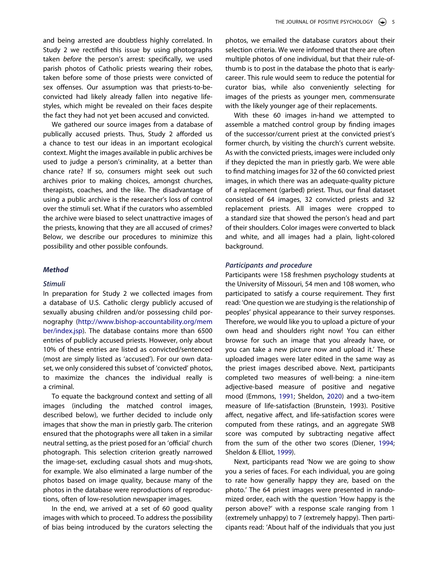and being arrested are doubtless highly correlated. In Study 2 we rectified this issue by using photographs taken *before* the person's arrest: specifically, we used parish photos of Catholic priests wearing their robes, taken before some of those priests were convicted of sex offenses. Our assumption was that priests-to-beconvicted had likely already fallen into negative lifestyles, which might be revealed on their faces despite the fact they had not yet been accused and convicted.

We gathered our source images from a database of publically accused priests. Thus, Study 2 afforded us a chance to test our ideas in an important ecological context. Might the images available in public archives be used to judge a person's criminality, at a better than chance rate? If so, consumers might seek out such archives prior to making choices, amongst churches, therapists, coaches, and the like. The disadvantage of using a public archive is the researcher's loss of control over the stimuli set. What if the curators who assembled the archive were biased to select unattractive images of the priests, knowing that they are all accused of crimes? Below, we describe our procedures to minimize this possibility and other possible confounds.

#### *Method*

#### *Stimuli*

In preparation for Study 2 we collected images from a database of U.S. Catholic clergy publicly accused of sexually abusing children and/or possessing child pornography ([http://www.bishop-accountability.org/mem](http://www.bishop-accountability.org/member/index.jsp)  [ber/index.jsp\)](http://www.bishop-accountability.org/member/index.jsp). The database contains more than 6500 entries of publicly accused priests. However, only about 10% of these entries are listed as convicted/sentenced (most are simply listed as 'accused'). For our own dataset, we only considered this subset of 'convicted' photos, to maximize the chances the individual really is a criminal.

To equate the background context and setting of all images (including the matched control images, described below), we further decided to include only images that show the man in priestly garb. The criterion ensured that the photographs were all taken in a similar neutral setting, as the priest posed for an 'official' church photograph. This selection criterion greatly narrowed the image-set, excluding casual shots and mug-shots, for example. We also eliminated a large number of the photos based on image quality, because many of the photos in the database were reproductions of reproductions, often of low-resolution newspaper images.

In the end, we arrived at a set of 60 good quality images with which to proceed. To address the possibility of bias being introduced by the curators selecting the photos, we emailed the database curators about their selection criteria. We were informed that there are often multiple photos of one individual, but that their rule-ofthumb is to post in the database the photo that is earlycareer. This rule would seem to reduce the potential for curator bias, while also conveniently selecting for images of the priests as younger men, commensurate with the likely younger age of their replacements.

With these 60 images in-hand we attempted to assemble a matched control group by finding images of the successor/current priest at the convicted priest's former church, by visiting the church's current website. As with the convicted priests, images were included only if they depicted the man in priestly garb. We were able to find matching images for 32 of the 60 convicted priest images, in which there was an adequate-quality picture of a replacement (garbed) priest. Thus, our final dataset consisted of 64 images, 32 convicted priests and 32 replacement priests. All images were cropped to a standard size that showed the person's head and part of their shoulders. Color images were converted to black and white, and all images had a plain, light-colored background.

# *Participants and procedure*

Participants were 158 freshmen psychology students at the University of Missouri, 54 men and 108 women, who participated to satisfy a course requirement. They first read: 'One question we are studying is the relationship of peoples' physical appearance to their survey responses. Therefore, we would like you to upload a picture of your own head and shoulders right now! You can either browse for such an image that you already have, or you can take a new picture now and upload it.' These uploaded images were later edited in the same way as the priest images described above. Next, participants completed two measures of well-being: a nine-item adjective-based measure of positive and negative mood (Emmons, [1991;](#page-8-18) Sheldon, [2020\)](#page-9-18) and a two-item measure of life-satisfaction (Brunstein, 1993). Positive affect, negative affect, and life-satisfaction scores were computed from these ratings, and an aggregate SWB score was computed by subtracting negative affect from the sum of the other two scores (Diener, [1994](#page-8-19); Sheldon & Elliot, [1999](#page-9-5)).

<span id="page-4-1"></span><span id="page-4-0"></span>Next, participants read 'Now we are going to show you a series of faces. For each individual, you are going to rate how generally happy they are, based on the photo.' The 64 priest images were presented in randomized order, each with the question 'How happy is the person above?' with a response scale ranging from 1 (extremely unhappy) to 7 (extremely happy). Then participants read: 'About half of the individuals that you just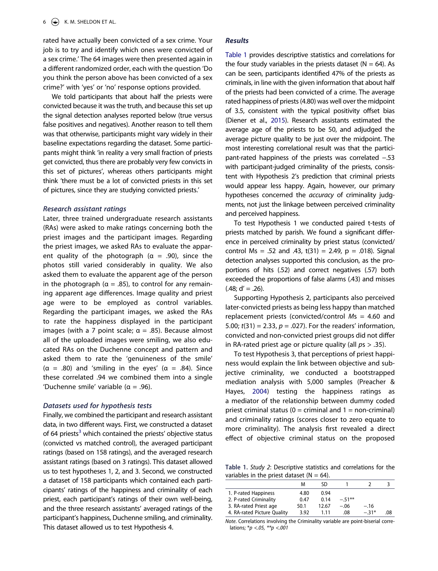rated have actually been convicted of a sex crime. Your job is to try and identify which ones were convicted of a sex crime.' The 64 images were then presented again in a different randomized order, each with the question 'Do you think the person above has been convicted of a sex crime?' with 'yes' or 'no' response options provided.

We told participants that about half the priests were convicted because it was the truth, and because this set up the signal detection analyses reported below (true versus false positives and negatives). Another reason to tell them was that otherwise, participants might vary widely in their baseline expectations regarding the dataset. Some participants might think 'in reality a very small fraction of priests get convicted, thus there are probably very few convicts in this set of pictures', whereas others participants might think 'there must be a lot of convicted priests in this set of pictures, since they are studying convicted priests.'

#### *Research assistant ratings*

Later, three trained undergraduate research assistants (RAs) were asked to make ratings concerning both the priest images and the participant images. Regarding the priest images, we asked RAs to evaluate the apparent quality of the photograph ( $\alpha$  = .90), since the photos still varied considerably in quality. We also asked them to evaluate the apparent age of the person in the photograph ( $\alpha = .85$ ), to control for any remaining apparent age differences. Image quality and priest age were to be employed as control variables. Regarding the participant images, we asked the RAs to rate the happiness displayed in the participant images (with a 7 point scale;  $\alpha = .85$ ). Because almost all of the uploaded images were smiling, we also educated RAs on the Duchenne concept and pattern and asked them to rate the 'genuineness of the smile' (α = .80) and 'smiling in the eyes' (α = .84). Since these correlated .94 we combined them into a single 'Duchenne smile' variable ( $\alpha$  = .96).

#### *Datasets used for hypothesis tests*

Finally, we combined the participant and research assistant data, in two different ways. First, we constructed a dataset of 64 priests<sup>3</sup> which contained the priests' objective status (convicted vs matched control), the averaged participant ratings (based on 158 ratings), and the averaged research assistant ratings (based on 3 ratings). This dataset allowed us to test hypotheses 1, 2, and 3. Second, we constructed a dataset of 158 participants which contained each participants' ratings of the happiness and criminality of each priest, each participant's ratings of their own well-being, and the three research assistants' averaged ratings of the participant's happiness, Duchenne smiling, and criminality. This dataset allowed us to test Hypothesis 4.

# *Results*

<span id="page-5-1"></span>[Table 1](#page-5-0) provides descriptive statistics and correlations for the four study variables in the priests dataset ( $N = 64$ ). As can be seen, participants identified 47% of the priests as criminals, in line with the given information that about half of the priests had been convicted of a crime. The average rated happiness of priests (4.80) was well over the midpoint of 3.5, consistent with the typical positivity offset bias (Diener et al., [2015\)](#page-8-20). Research assistants estimated the average age of the priests to be 50, and adjudged the average picture quality to be just over the midpoint. The most interesting correlational result was that the participant-rated happiness of the priests was correlated −.53 with participant-judged criminality of the priests, consistent with Hypothesis 2's prediction that criminal priests would appear less happy. Again, however, our primary hypotheses concerned the *accuracy* of criminality judgments, not just the linkage between perceived criminality and perceived happiness.

To test Hypothesis 1 we conducted paired t-tests of priests matched by parish. We found a significant difference in perceived criminality by priest status (convicted/ control Ms = .52 and .43,  $t(31) = 2.49$ ,  $p = .018$ ). Signal detection analyses supported this conclusion, as the proportions of hits (.52) and correct negatives (.57) both exceeded the proportions of false alarms (.43) and misses  $(.48; d' = .26).$ 

Supporting Hypothesis 2, participants also perceived later-convicted priests as being less happy than matched replacement priests (convicted/control *M*s = 4.60 and 5.00; *t*(31) = 2.33, *p* = .027). For the readers' information, convicted and non-convicted priest groups did not differ in RA-rated priest age or picture quality (all *p*s > .35).

To test Hypothesis 3, that perceptions of priest happiness would explain the link between objective and subjective criminality, we conducted a bootstrapped mediation analysis with 5,000 samples (Preacher & Hayes, [2004\)](#page-8-17) testing the happiness ratings as a mediator of the relationship between dummy coded priest criminal status ( $0 =$  criminal and  $1 =$  non-criminal) and criminality ratings (scores closer to zero equate to more criminality). The analysis first revealed a direct effect of objective criminal status on the proposed

<span id="page-5-0"></span>**Table 1.** *Study 2*: Descriptive statistics and correlations for the variables in the priest dataset ( $N = 64$ ).

|                             | м    | SD    |           |        |     |
|-----------------------------|------|-------|-----------|--------|-----|
| 1. P-rated Happiness        | 4.80 | 0.94  |           |        |     |
| 2. P-rated Criminality      | 0.47 | 0.14  | $-.51***$ |        |     |
| 3. RA-rated Priest age      | 50.1 | 12.67 | $-.06$    | $-.16$ |     |
| 4. RA-rated Picture Quality | 3.92 | 111   | .08       | $-31*$ | .08 |

*Note*. Correlations involving the Criminality variable are point-biserial correlations; \**p <.05, \*\*p <.001*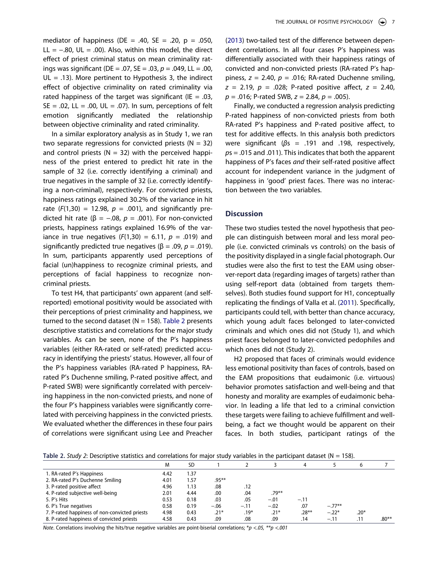mediator of happiness (DE = .40, SE = .20,  $p = .050$ , LL =  $-.80$ , UL = .00). Also, within this model, the direct effect of priest criminal status on mean criminality ratings was significant (DE = .07, SE = .03, *p* = .049, LL = .00,  $UL = .13$ ). More pertinent to Hypothesis 3, the indirect effect of objective criminality on rated criminality via rated happiness of the target was significant (IE =  $.03$ ,  $SE = .02$ ,  $LL = .00$ ,  $UL = .07$ ). In sum, perceptions of felt emotion significantly mediated the relationship between objective criminality and rated criminality.

In a similar exploratory analysis as in Study 1, we ran two separate regressions for convicted priests ( $N = 32$ ) and control priests ( $N = 32$ ) with the perceived happiness of the priest entered to predict hit rate in the sample of 32 (i.e. correctly identifying a criminal) and true negatives in the sample of 32 (i.e. correctly identifying a non-criminal), respectively. For convicted priests, happiness ratings explained 30.2% of the variance in hit rate  $(F(1,30) = 12.98, p = .001)$ , and significantly predicted hit rate (β = −.08, *p* = .001). For non-convicted priests, happiness ratings explained 16.9% of the variance in true negatives  $(F(1,30) = 6.11, p = .019)$  and significantly predicted true negatives ( $\beta$  = .09, *p* = .019). In sum, participants apparently used perceptions of facial (un)happiness to recognize criminal priests, and perceptions of facial happiness to recognize noncriminal priests.

To test H4, that participants' own apparent (and selfreported) emotional positivity would be associated with their perceptions of priest criminality and happiness, we turned to the second dataset ( $N = 158$ ). [Table 2](#page-6-0) presents descriptive statistics and correlations for the major study variables. As can be seen, none of the P's happiness variables (either RA-rated or self-rated) predicted accuracy in identifying the priests' status. However, all four of the P's happiness variables (RA-rated P happiness, RArated P's Duchenne smiling, P-rated positive affect, and P-rated SWB) were significantly correlated with perceiving happiness in the non-convicted priests, and none of the four P's happiness variables were significantly correlated with perceiving happiness in the convicted priests. We evaluated whether the differences in these four pairs of correlations were significant using Lee and Preacher

<span id="page-6-1"></span>([2013](#page-8-21)) two-tailed test of the difference between dependent correlations. In all four cases P's happiness was differentially associated with their happiness ratings of convicted and non-convicted priests (RA-rated P's happiness, *z* = 2.40, *p* = .016; RA-rated Duchenne smiling, *z* = 2.19, *p* = .028; P-rated positive affect, *z* = 2.40, *p* = .016; P-rated SWB, *z* = 2.84, *p* = .005).

Finally, we conducted a regression analysis predicting P-rated happiness of non-convicted priests from both RA-rated P's happiness and P-rated positive affect, to test for additive effects. In this analysis both predictors were significant (*β*s = .191 and .198, respectively, *p*s = .015 and .011). This indicates that both the apparent happiness of P's faces *and* their self-rated positive affect account for independent variance in the judgment of happiness in 'good' priest faces. There was no interaction between the two variables.

# **Discussion**

These two studies tested the novel hypothesis that people can distinguish between moral and less moral people (i.e. convicted criminals vs controls) on the basis of the positivity displayed in a single facial photograph. Our studies were also the first to test the EAM using observer-report data (regarding images of targets) rather than using self-report data (obtained from targets themselves). Both studies found support for H1, conceptually replicating the findings of Valla et al. ([2011\)](#page-9-17). Specifically, participants could tell, with better than chance accuracy, which young adult faces belonged to later-convicted criminals and which ones did not (Study 1), and which priest faces belonged to later-convicted pedophiles and which ones did not (Study 2).

H2 proposed that faces of criminals would evidence less emotional positivity than faces of controls, based on the EAM propositions that eudaimonic (i.e. virtuous) behavior promotes satisfaction and well-being and that honesty and morality are examples of eudaimonic behavior. In leading a life that led to a criminal conviction these targets were failing to achieve fulfillment and wellbeing, a fact we thought would be apparent on their faces. In both studies, participant ratings of the

<span id="page-6-0"></span>

| Table 2. Study 2: Descriptive statistics and correlations for major study variables in the participant dataset (N = 158). |  |  |  |  |  |  |  |
|---------------------------------------------------------------------------------------------------------------------------|--|--|--|--|--|--|--|
|                                                                                                                           |  |  |  |  |  |  |  |

|                                               | M    | SD   |          |        |          | 4        |          |        |         |
|-----------------------------------------------|------|------|----------|--------|----------|----------|----------|--------|---------|
| 1. RA-rated P's Happiness                     | 4.42 | 1.37 |          |        |          |          |          |        |         |
| 2. RA-rated P's Duchenne Smiling              | 4.01 | 1.57 | $.95***$ |        |          |          |          |        |         |
| 3. P-rated positive affect                    | 4.96 | 1.13 | .08      | .12    |          |          |          |        |         |
| 4. P-rated subjective well-being              | 2.01 | 4.44 | .00      | .04    | $.79***$ |          |          |        |         |
| 5. P's Hits                                   | 0.53 | 0.18 | .03      | .05    | $-.01$   | $-.11$   |          |        |         |
| 6. P's True negatives                         | 0.58 | 0.19 | $-.06$   | $-.11$ | $-.02$   | .07      | $-.77**$ |        |         |
| 7. P-rated happiness of non-convicted priests | 4.98 | 0.43 | $.21*$   | $.19*$ | .21*     | $.28***$ | $-.22*$  | $.20*$ |         |
| 8. P-rated happiness of convicted priests     | 4.58 | 0.43 | .09      | .08    | .09      | .14      | $-.11$   | .11    | $.80**$ |

*Note*. Correlations involving the hits/true negative variables are point-biserial correlations; \**p <.05, \*\*p <.001*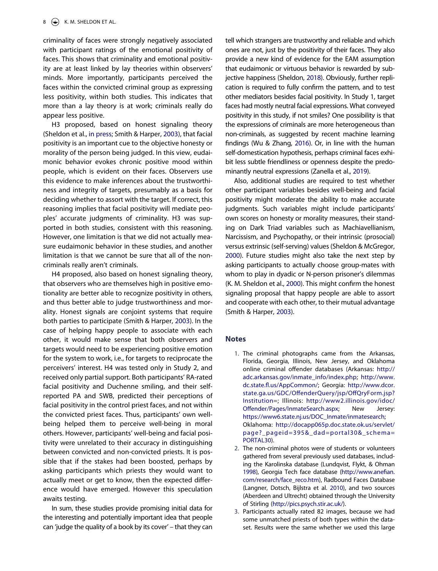criminality of faces were strongly negatively associated with participant ratings of the emotional positivity of faces. This shows that criminality and emotional positivity are at least linked by lay theories within observers' minds. More importantly, participants perceived the faces within the convicted criminal group as expressing less positivity, within both studies. This indicates that more than a lay theory is at work; criminals really do appear less positive.

<span id="page-7-6"></span>H3 proposed, based on honest signaling theory (Sheldon et al., [in press](#page-9-19); Smith & Harper, [2003\)](#page-9-8), that facial positivity is an important cue to the objective honesty or morality of the person being judged. In this view, eudaimonic behavior evokes chronic positive mood within people, which is evident on their faces. Observers use this evidence to make inferences about the trustworthiness and integrity of targets, presumably as a basis for deciding whether to assort with the target. If correct, this reasoning implies that facial positivity will mediate peoples' accurate judgments of criminality. H3 was supported in both studies, consistent with this reasoning. However, one limitation is that we did not actually measure eudaimonic behavior in these studies, and another limitation is that we cannot be sure that all of the noncriminals really aren't criminals.

H4 proposed, also based on honest signaling theory, that observers who are themselves high in positive emotionality are better able to recognize positivity in others, and thus better able to judge trustworthiness and morality. Honest signals are conjoint systems that require both parties to participate (Smith & Harper, [2003](#page-9-8)). In the case of helping happy people to associate with each other, it would make sense that both observers and targets would need to be experiencing positive emotion for the system to work, i.e., for targets to reciprocate the perceivers' interest. H4 was tested only in Study 2, and received only partial support. Both participants' RA-rated facial positivity and Duchenne smiling, and their selfreported PA and SWB, predicted their perceptions of facial positivity in the control priest faces, and not within the convicted priest faces. Thus, participants' own wellbeing helped them to perceive well-being in moral others. However, participants' well-being and facial positivity were unrelated to their accuracy in distinguishing between convicted and non-convicted priests. It is possible that if the stakes had been boosted, perhaps by asking participants which priests they would want to actually meet or get to know, then the expected difference would have emerged. However this speculation awaits testing.

In sum, these studies provide promising initial data for the interesting and potentially important idea that people can 'judge the quality of a book by its cover' – that they can <span id="page-7-5"></span>tell which strangers are trustworthy and reliable and which ones are not, just by the positivity of their faces. They also provide a new kind of evidence for the EAM assumption that eudaimonic or virtuous behavior is rewarded by subjective happiness (Sheldon, [2018](#page-9-20)). Obviously, further replication is required to fully confirm the pattern, and to test other mediators besides facial positivity. In Study 1, target faces had mostly neutral facial expressions. What conveyed positivity in this study, if not smiles? One possibility is that the expressions of criminals are more heterogeneous than non-criminals, as suggested by recent machine learning findings (Wu & Zhang, [2016](#page-9-21)). Or, in line with the human self-domestication hypothesis, perhaps criminal faces exhibit less subtle friendliness or openness despite the predominantly neutral expressions (Zanella et al., [2019\)](#page-9-22).

<span id="page-7-9"></span><span id="page-7-8"></span><span id="page-7-7"></span>Also, additional studies are required to test whether other participant variables besides well-being and facial positivity might moderate the ability to make accurate judgments. Such variables might include participants' own scores on honesty or morality measures, their standing on Dark Triad variables such as Machiavellianism, Narcissism, and Psychopathy, or their intrinsic (prosocial) versus extrinsic (self-serving) values (Sheldon & McGregor, [2000\)](#page-9-23). Future studies might also take the next step by asking participants to actually choose group-mates with whom to play in dyadic or N-person prisoner's dilemmas (K. M. Sheldon et al., [2000](#page-9-9)). This might confirm the honest signaling proposal that happy people are able to assort and cooperate with each other, to their mutual advantage (Smith & Harper, [2003\)](#page-9-8).

#### **Notes**

- <span id="page-7-0"></span>1. The criminal photographs came from the Arkansas, Florida, Georgia, Illinois, New Jersey, and Oklahoma online criminal offender databases (Arkansas: [http://](http://adc.arkansas.gov/inmate_info/index.php)  [adc.arkansas.gov/inmate\\_info/index.php](http://adc.arkansas.gov/inmate_info/index.php); [http://www.](http://www.dc.state.fl.us/AppCommon/)  [dc.state.fl.us/AppCommon/](http://www.dc.state.fl.us/AppCommon/); Georgia: [http://www.dcor.](http://www.dcor.state.ga.us/GDC/OffenderQuery/jsp/OffQryForm.jsp?Institution) [state.ga.us/GDC/OffenderQuery/jsp/OffQryForm.jsp?](http://www.dcor.state.ga.us/GDC/OffenderQuery/jsp/OffQryForm.jsp?Institution)  [Institution=](http://www.dcor.state.ga.us/GDC/OffenderQuery/jsp/OffQryForm.jsp?Institution); Illinois: [http://www2.illinois.gov/idoc/](http://www2.illinois.gov/idoc/Offender/Pages/InmateSearch.aspx)  [Offender/Pages/InmateSearch.aspx;](http://www2.illinois.gov/idoc/Offender/Pages/InmateSearch.aspx) New Jersey: [https://www6.state.nj.us/DOC\\_Inmate/inmatesearch](https://www6.state.nj.us/DOC_Inmate/inmatesearch); Oklahoma: [http://docapp065p.doc.state.ok.us/servlet/](http://docapp065p.doc.state.ok.us/servlet/page?_pageid=395%26_dad=portal30%26_schema=PORTAL30)  [page?\\_pageid=395&\\_dad=portal30&\\_schema=](http://docapp065p.doc.state.ok.us/servlet/page?_pageid=395%26_dad=portal30%26_schema=PORTAL30) [PORTAL30](http://docapp065p.doc.state.ok.us/servlet/page?_pageid=395%26_dad=portal30%26_schema=PORTAL30)).
- <span id="page-7-4"></span><span id="page-7-1"></span>2. The non-criminal photos were of students or volunteers gathered from several previously used databases, including the Karolinska database (Lundqvist, Flykt, & Ohman [1998](#page-8-22)), Georgia Tech face database [\(http://www.anefian.](http://www.anefian.com/research/face_reco.htm) [com/research/face\\_reco.htm\)](http://www.anefian.com/research/face_reco.htm), Radbound Faces Database (Langner, Dotsch, Bijlstra et al. [2010](#page-8-23)), and two sources (Aberdeen and Ultrecht) obtained through the University of Stirling [\(http://pics.psych.stir.ac.uk/](http://pics.psych.stir.ac.uk/)).
- <span id="page-7-3"></span><span id="page-7-2"></span>3. Participants actually rated 82 images, because we had some unmatched priests of both types within the dataset. Results were the same whether we used this large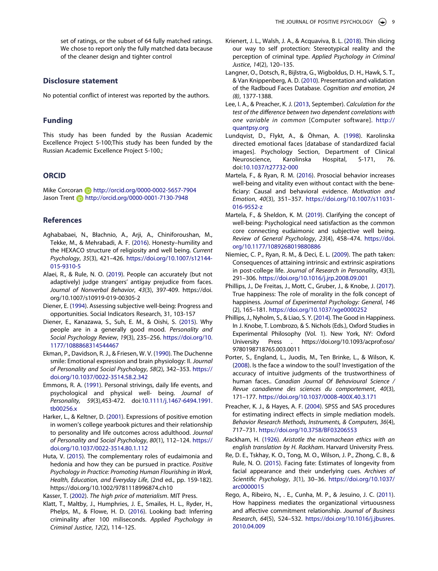set of ratings, or the subset of 64 fully matched ratings. We chose to report only the fully matched data because of the cleaner design and tighter control

## **Disclosure statement**

No potential conflict of interest was reported by the authors.

# **Funding**

This study has been funded by the Russian Academic Excellence Project 5-100;This study has been funded by the Russian Academic Excellence Project 5-100.;

# **ORCID**

Mike Corcoran **b** http://orcid.org/0000-0002-5657-7904 Jason Trent **http://orcid.org/0000-0001-7130-7948** 

## **References**

- <span id="page-8-9"></span>Aghababaei, N., Błachnio, A., Arji, A., Chiniforoushan, M., Tekke, M., & Mehrabadi, A. F. [\(2016\)](#page-1-0). Honesty–humility and the HEXACO structure of religiosity and well being. *Current Psychology*, *35*(3), 421–426. [https://doi.org/10.1007/s12144-](https://doi.org/10.1007/s12144-015-9310-5)  [015-9310-5](https://doi.org/10.1007/s12144-015-9310-5)
- <span id="page-8-12"></span>Alaei, R., & Rule, N. O. [\(2019\)](#page-1-1). People can accurately (but not adaptively) judge strangers' antigay prejudice from faces. *Journal of Nonverbal Behavior*, *43*(3), 397-409. https://doi. org/10.1007/s10919-019-00305-2
- <span id="page-8-19"></span>Diener, E. ([1994](#page-4-0)). Assessing subjective well-being: Progress and opportunities. Social Indicators Research, 31, 103-157
- <span id="page-8-20"></span>Diener, E., Kanazawa, S., Suh, E. M., & Oishi, S. ([2015](#page-5-1)). Why people are in a generally good mood. *Personality and Social Psychology Review*, *19*(3), 235–256. [https://doi.org/10.](https://doi.org/10.1177/1088868314544467)  [1177/1088868314544467](https://doi.org/10.1177/1088868314544467)
- <span id="page-8-10"></span>Ekman, P., Davidson, R. J., & Friesen, W. V. [\(1990\)](#page-1-2). The Duchenne smile: Emotional expression and brain physiology: II. *Journal of Personality and Social Psychology*, *58*(2), 342–353. [https://](https://doi.org/10.1037/0022-3514.58.2.342)  [doi.org/10.1037/0022-3514.58.2.342](https://doi.org/10.1037/0022-3514.58.2.342)
- <span id="page-8-18"></span>Emmons, R. A. ([1991](#page-4-1)). Personal strivings, daily life events, and psychological and physical well- being. *Journal of Personality, 59*(3),453-472. doi:[10.1111/j.1467-6494.1991.](https://doi.org/10.1111/j.1467-6494.1991.tb00256.x)  [tb00256.x](https://doi.org/10.1111/j.1467-6494.1991.tb00256.x)
- <span id="page-8-11"></span>Harker, L., & Keltner, D. ([2001](#page-1-3)). Expressions of positive emotion in women's college yearbook pictures and their relationship to personality and life outcomes across adulthood. *Journal of Personality and Social Psychology*, *80*(1), 112–124. [https://](https://doi.org/10.1037/0022-3514.80.1.112)  [doi.org/10.1037/0022-3514.80.1.112](https://doi.org/10.1037/0022-3514.80.1.112)
- <span id="page-8-4"></span>Huta, V. ([2015](#page-0-2)). The complementary roles of eudaimonia and hedonia and how they can be pursued in practice. *Positive Psychology in Practice: Promoting Human Flourishing in Work, Health, Education, and Everyday Life*, (2nd ed., pp. 159-182). https://doi.org/10.1002/9781118996874.ch10

<span id="page-8-5"></span>Kasser, T. ([2002](#page-1-4)). *The high price of materialism*. MIT Press.

<span id="page-8-14"></span>Klatt, T., Maltby, J., Humphries, J. E., Smailes, H. L., Ryder, H., Phelps, M., & Flowe, H. D. [\(2016\)](#page-1-5). Looking bad: Inferring criminality after 100 miliseconds. *Applied Psychology in Criminal Justice*, *12*(2), 114–125.

- <span id="page-8-15"></span>Krienert, J. L., Walsh, J. A., & Acquaviva, B. L. ([2018](#page-2-0)). Thin slicing our way to self protection: Stereotypical reality and the perception of criminal type. *Applied Psychology in Criminal Justice*, *14*(2), 120–135.
- <span id="page-8-23"></span>Langner, O., Dotsch, R., Bijlstra, G., Wigboldus, D. H., Hawk, S. T., & Van Knippenberg, A. D. ([2010](#page-7-3)). Presentation and validation of the Radboud Faces Database. *Cognition and emotion, 24 (8)*, 1377-1388.
- <span id="page-8-21"></span>Lee, I. A., & Preacher, K. J. ([2013](#page-6-1), September). *Calculation for the test of the difference between two dependent correlations with one variable in common* [Computer software]. [http://](http://quantpsy.org)  [quantpsy.org](http://quantpsy.org)
- <span id="page-8-22"></span>Lundqvist, D., Flykt, A., & Öhman, A. ([1998\)](#page-7-4). Karolinska directed emotional faces [database of standardized facial images]. Psychology Section, Department of Clinical Neuroscience, Karolinska Hospital, S-171, doi:[10.1037/t27732-000](https://doi.org/10.1037/t27732-000)
- <span id="page-8-3"></span>Martela, F., & Ryan, R. M. [\(2016\)](#page-0-3). Prosocial behavior increases well-being and vitality even without contact with the beneficiary: Causal and behavioral evidence. *Motivation and Emotion*, *40*(3), 351–357. [https://doi.org/10.1007/s11031-](https://doi.org/10.1007/s11031-016-9552-z)  [016-9552-z](https://doi.org/10.1007/s11031-016-9552-z)
- <span id="page-8-1"></span>Martela, F., & Sheldon, K. M. ([2019](#page-0-4)). Clarifying the concept of well-being: Psychological need satisfaction as the common core connecting eudaimonic and subjective well being. *Review of General Psychology*, *23*(4), 458–474. [https://doi.](https://doi.org/10.1177/1089268019880886)  [org/10.1177/1089268019880886](https://doi.org/10.1177/1089268019880886)
- <span id="page-8-2"></span>Niemiec, C. P., Ryan, R. M., & Deci, E. L. [\(2009\)](#page-0-5). The path taken: Consequences of attaining intrinsic and extrinsic aspirations in post-college life. *Journal of Research in Personality*, *43*(3), 291–306. <https://doi.org/10.1016/j.jrp.2008.09.001>
- <span id="page-8-7"></span>Phillips, J., De Freitas, J., Mott, C., Gruber, J., & Knobe, J. ([2017](#page-1-3)). True happiness: The role of morality in the folk concept of happiness. *Journal of Experimental Psychology: General*, *146*  (2), 165–181. <https://doi.org/10.1037/xge0000252>
- <span id="page-8-6"></span>Phillips, J., Nyholm, S., & Liao, S. Y. ([2014\)](#page-1-6). The Good in Happiness. In J. Knobe, T. Lombrozo, & S. Nichols (Eds.), Oxford Studies in Experimental Philosophy (Vol. 1). New York, NY: Oxford University Press . https://doi.org/10.1093/acprof:oso/ 9780198718765.003.0011
- <span id="page-8-16"></span>Porter, S., England, L., Juodis, M., Ten Brinke, L., & Wilson, K. [\(2008\)](#page-2-1). Is the face a window to the soul? Investigation of the accuracy of intuitive judgments of the trustworthiness of human faces.. *Canadian Journal Of Behavioural Science / Revue canadienne des sciences du comportement*, *40*(3), 171–177. <https://doi.org/10.1037/0008-400X.40.3.171>
- <span id="page-8-17"></span>Preacher, K. J., & Hayes, A. F. ([2004](#page-3-0)). SPSS and SAS procedures for estimating indirect effects in simple mediation models. *Behavior Research Methods, Instruments, & Computers*, *36*(4), 717–731. <https://doi.org/10.3758/BF03206553>
- <span id="page-8-0"></span>Rackham, H. [\(1926\)](#page-0-6). *Aristotle the nicomachean ethics with an english translation by H. Rackham*. Harvard University Press.
- <span id="page-8-13"></span>Re, D. E., Tskhay, K. O., Tong, M. O., Wilson, J. P., Zhong, C. B., & Rule, N. O. ([2015](#page-1-1)). Facing fate: Estimates of longevity from facial appearance and their underlying cues. *Archives of Scientific Psychology*, *3*(1), 30–36. [https://doi.org/10.1037/](https://doi.org/10.1037/arc0000015)  [arc0000015](https://doi.org/10.1037/arc0000015)
- <span id="page-8-8"></span>Rego, A., Ribeiro, N., . E., Cunha, M. P., & Jesuino, J. C. ([2011](#page-1-7)). How happiness mediates the organizational virtuousness and affective commitment relationship. *Journal of Business Research*, *64*(5), 524–532. [https://doi.org/10.1016/j.jbusres.](https://doi.org/10.1016/j.jbusres.2010.04.009) [2010.04.009](https://doi.org/10.1016/j.jbusres.2010.04.009)